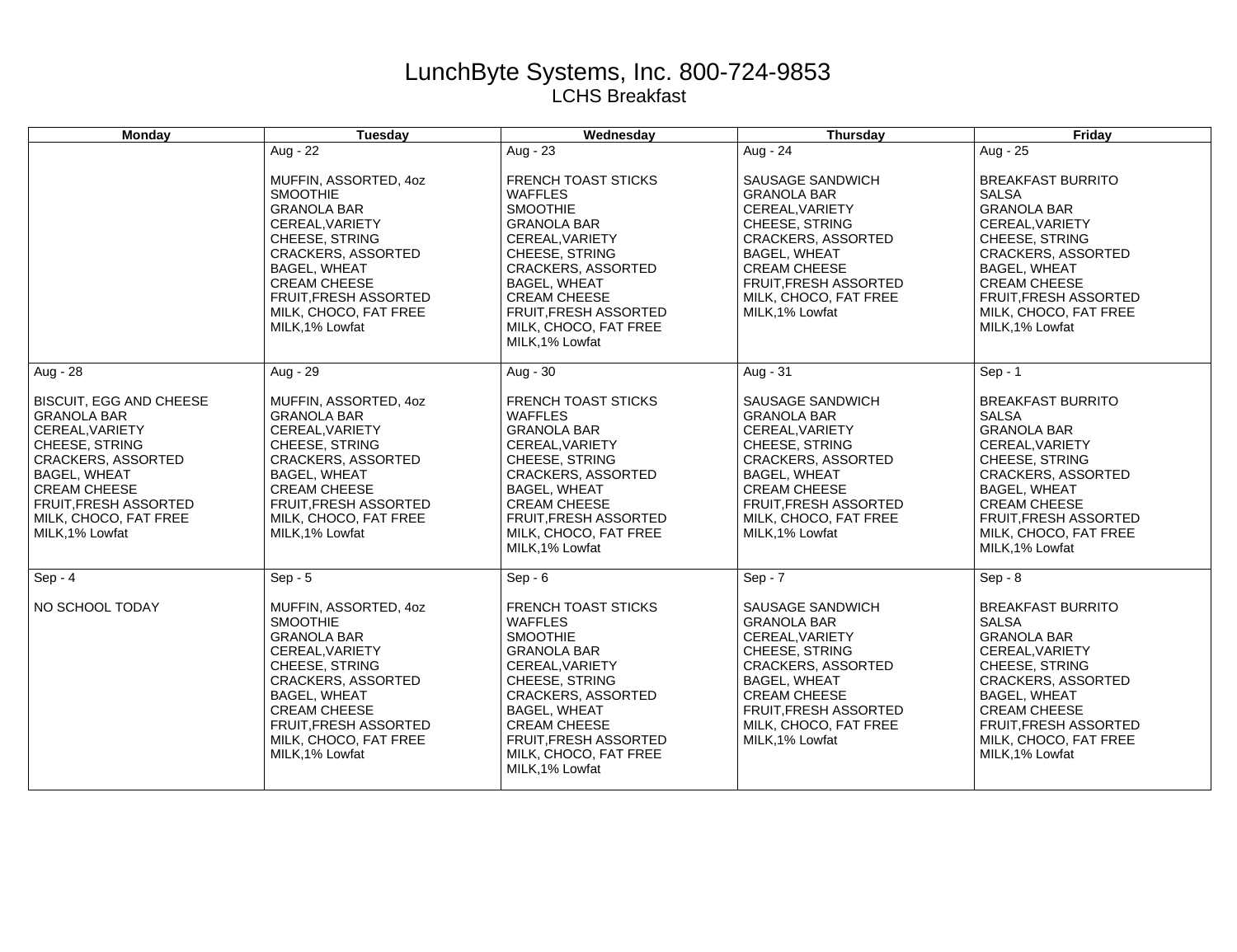## LunchByte Systems, Inc. 800-724-9853 LCHS Breakfast

| Monday                                                                                                                                                                                                                                    | Tuesday                                                                                                                                                                                                                                                    | Wednesday                                                                                                                                                                                                                                                                  | Thursday                                                                                                                                                                                                                           | Friday                                                                                                                                                                                                                                              |
|-------------------------------------------------------------------------------------------------------------------------------------------------------------------------------------------------------------------------------------------|------------------------------------------------------------------------------------------------------------------------------------------------------------------------------------------------------------------------------------------------------------|----------------------------------------------------------------------------------------------------------------------------------------------------------------------------------------------------------------------------------------------------------------------------|------------------------------------------------------------------------------------------------------------------------------------------------------------------------------------------------------------------------------------|-----------------------------------------------------------------------------------------------------------------------------------------------------------------------------------------------------------------------------------------------------|
|                                                                                                                                                                                                                                           | Aug - 22                                                                                                                                                                                                                                                   | Aug - 23                                                                                                                                                                                                                                                                   | Aug - 24                                                                                                                                                                                                                           | Aug - $25$                                                                                                                                                                                                                                          |
|                                                                                                                                                                                                                                           | MUFFIN, ASSORTED, 4oz<br><b>SMOOTHIE</b><br><b>GRANOLA BAR</b><br>CEREAL, VARIETY<br>CHEESE, STRING<br><b>CRACKERS, ASSORTED</b><br><b>BAGEL, WHEAT</b><br><b>CREAM CHEESE</b><br><b>FRUIT, FRESH ASSORTED</b><br>MILK, CHOCO, FAT FREE<br>MILK, 1% Lowfat | <b>FRENCH TOAST STICKS</b><br><b>WAFFLES</b><br><b>SMOOTHIE</b><br><b>GRANOLA BAR</b><br>CEREAL, VARIETY<br>CHEESE, STRING<br><b>CRACKERS, ASSORTED</b><br><b>BAGEL, WHEAT</b><br><b>CREAM CHEESE</b><br>FRUIT, FRESH ASSORTED<br>MILK, CHOCO, FAT FREE<br>MILK.1% Lowfat  | SAUSAGE SANDWICH<br><b>GRANOLA BAR</b><br>CEREAL, VARIETY<br>CHEESE, STRING<br><b>CRACKERS, ASSORTED</b><br><b>BAGEL, WHEAT</b><br><b>CREAM CHEESE</b><br>FRUIT, FRESH ASSORTED<br>MILK, CHOCO, FAT FREE<br>MILK, 1% Lowfat        | <b>BREAKFAST BURRITO</b><br><b>SALSA</b><br><b>GRANOLA BAR</b><br>CEREAL, VARIETY<br>CHEESE, STRING<br><b>CRACKERS, ASSORTED</b><br><b>BAGEL, WHEAT</b><br><b>CREAM CHEESE</b><br>FRUIT, FRESH ASSORTED<br>MILK, CHOCO, FAT FREE<br>MILK, 1% Lowfat |
| Aug - 28                                                                                                                                                                                                                                  | Aug - 29                                                                                                                                                                                                                                                   | Aug - $30$                                                                                                                                                                                                                                                                 | Aug - 31                                                                                                                                                                                                                           | $Sep - 1$                                                                                                                                                                                                                                           |
| <b>BISCUIT, EGG AND CHEESE</b><br><b>GRANOLA BAR</b><br>CEREAL, VARIETY<br>CHEESE, STRING<br><b>CRACKERS, ASSORTED</b><br><b>BAGEL, WHEAT</b><br><b>CREAM CHEESE</b><br>FRUIT, FRESH ASSORTED<br>MILK, CHOCO, FAT FREE<br>MILK, 1% Lowfat | MUFFIN, ASSORTED, 4oz<br><b>GRANOLA BAR</b><br>CEREAL, VARIETY<br>CHEESE, STRING<br><b>CRACKERS, ASSORTED</b><br><b>BAGEL, WHEAT</b><br><b>CREAM CHEESE</b><br>FRUIT, FRESH ASSORTED<br>MILK, CHOCO, FAT FREE<br>MILK, 1% Lowfat                           | <b>FRENCH TOAST STICKS</b><br><b>WAFFLES</b><br><b>GRANOLA BAR</b><br>CEREAL, VARIETY<br>CHEESE, STRING<br><b>CRACKERS, ASSORTED</b><br><b>BAGEL, WHEAT</b><br><b>CREAM CHEESE</b><br><b>FRUIT, FRESH ASSORTED</b><br>MILK, CHOCO, FAT FREE<br>MILK, 1% Lowfat             | SAUSAGE SANDWICH<br><b>GRANOLA BAR</b><br>CEREAL, VARIETY<br>CHEESE, STRING<br><b>CRACKERS, ASSORTED</b><br><b>BAGEL, WHEAT</b><br><b>CREAM CHEESE</b><br>FRUIT, FRESH ASSORTED<br>MILK, CHOCO, FAT FREE<br>MILK, 1% Lowfat        | <b>BREAKFAST BURRITO</b><br><b>SALSA</b><br><b>GRANOLA BAR</b><br>CEREAL, VARIETY<br>CHEESE, STRING<br><b>CRACKERS, ASSORTED</b><br><b>BAGEL, WHEAT</b><br><b>CREAM CHEESE</b><br>FRUIT, FRESH ASSORTED<br>MILK, CHOCO, FAT FREE<br>MILK, 1% Lowfat |
| $Sep - 4$                                                                                                                                                                                                                                 | $Sep - 5$                                                                                                                                                                                                                                                  | $Sep - 6$                                                                                                                                                                                                                                                                  | $Sep - 7$                                                                                                                                                                                                                          | $Sep - 8$                                                                                                                                                                                                                                           |
| NO SCHOOL TODAY                                                                                                                                                                                                                           | MUFFIN, ASSORTED, 4oz<br><b>SMOOTHIE</b><br><b>GRANOLA BAR</b><br>CEREAL, VARIETY<br>CHEESE, STRING<br><b>CRACKERS, ASSORTED</b><br><b>BAGEL, WHEAT</b><br><b>CREAM CHEESE</b><br><b>FRUIT.FRESH ASSORTED</b><br>MILK, CHOCO, FAT FREE<br>MILK, 1% Lowfat  | <b>FRENCH TOAST STICKS</b><br><b>WAFFLES</b><br><b>SMOOTHIE</b><br><b>GRANOLA BAR</b><br>CEREAL, VARIETY<br>CHEESE, STRING<br><b>CRACKERS, ASSORTED</b><br><b>BAGEL, WHEAT</b><br><b>CREAM CHEESE</b><br>FRUIT, FRESH ASSORTED<br>MILK, CHOCO, FAT FREE<br>MILK, 1% Lowfat | SAUSAGE SANDWICH<br><b>GRANOLA BAR</b><br>CEREAL, VARIETY<br>CHEESE, STRING<br><b>CRACKERS, ASSORTED</b><br><b>BAGEL, WHEAT</b><br><b>CREAM CHEESE</b><br><b>FRUIT, FRESH ASSORTED</b><br>MILK, CHOCO, FAT FREE<br>MILK, 1% Lowfat | <b>BREAKFAST BURRITO</b><br><b>SALSA</b><br><b>GRANOLA BAR</b><br>CEREAL, VARIETY<br>CHEESE, STRING<br><b>CRACKERS, ASSORTED</b><br><b>BAGEL, WHEAT</b><br><b>CREAM CHEESE</b><br>FRUIT, FRESH ASSORTED<br>MILK, CHOCO, FAT FREE<br>MILK, 1% Lowfat |